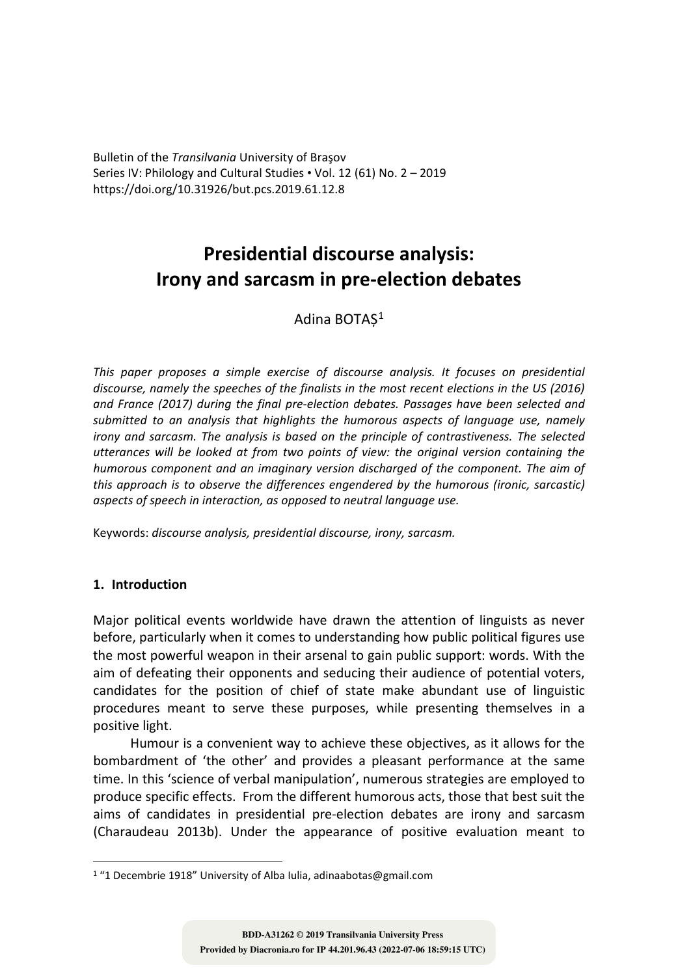Bulletin of the *Transilvania* University of Braşov Series IV: Philology and Cultural Studies • Vol. 12 (61) No. 2 – 2019 https://doi.org/10.31926/but.pcs.2019.61.12.8

# **Presidential discourse analysis: Irony and sarcasm in pre-election debates**

Adina BOTAS<sup>1</sup>

*This paper proposes a simple exercise of discourse analysis. It focuses on presidential discourse, namely the speeches of the finalists in the most recent elections in the US (2016) and France (2017) during the final pre-election debates. Passages have been selected and submitted to an analysis that highlights the humorous aspects of language use, namely irony and sarcasm. The analysis is based on the principle of contrastiveness. The selected utterances will be looked at from two points of view: the original version containing the humorous component and an imaginary version discharged of the component. The aim of this approach is to observe the differences engendered by the humorous (ironic, sarcastic) aspects of speech in interaction, as opposed to neutral language use.*

Keywords: *discourse analysis, presidential discourse, irony, sarcasm.*

## **1. Introduction**

Major political events worldwide have drawn the attention of linguists as never before, particularly when it comes to understanding how public political figures use the most powerful weapon in their arsenal to gain public support: words. With the aim of defeating their opponents and seducing their audience of potential voters, candidates for the position of chief of state make abundant use of linguistic procedures meant to serve these purposes, while presenting themselves in a positive light.

Humour is a convenient way to achieve these objectives, as it allows for the bombardment of 'the other' and provides a pleasant performance at the same time. In this 'science of verbal manipulation', numerous strategies are employed to produce specific effects. From the different humorous acts, those that best suit the aims of candidates in presidential pre-election debates are irony and sarcasm (Charaudeau 2013b). Under the appearance of positive evaluation meant to

<sup>1</sup> "1 Decembrie 1918" University of Alba Iulia, adinaabotas@gmail.com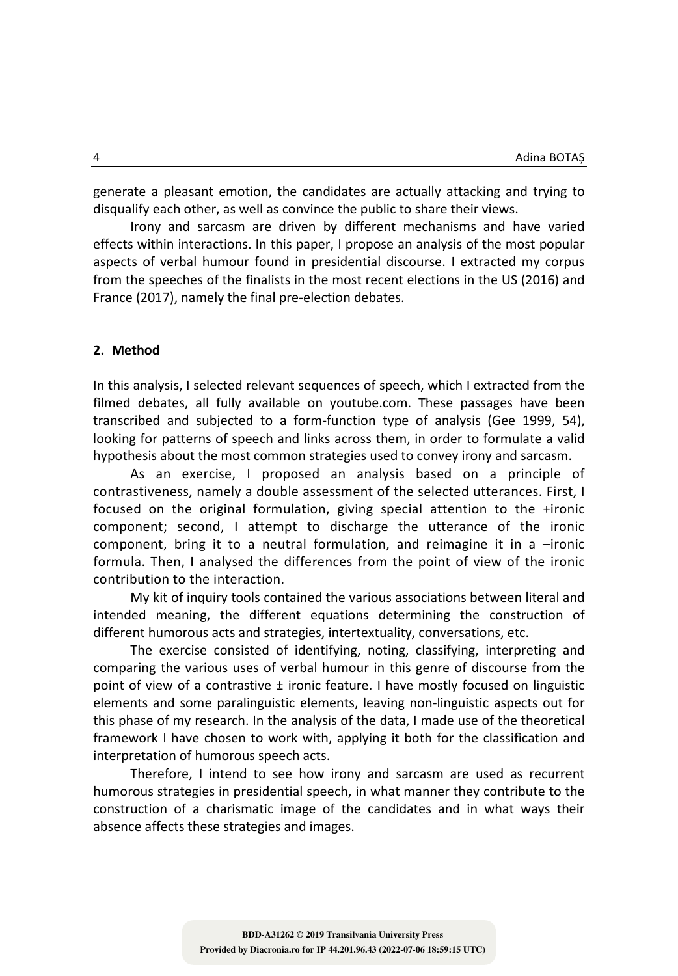generate a pleasant emotion, the candidates are actually attacking and trying to disqualify each other, as well as convince the public to share their views.

Irony and sarcasm are driven by different mechanisms and have varied effects within interactions. In this paper, I propose an analysis of the most popular aspects of verbal humour found in presidential discourse. I extracted my corpus from the speeches of the finalists in the most recent elections in the US (2016) and France (2017), namely the final pre-election debates.

#### **2. Method**

In this analysis, I selected relevant sequences of speech, which I extracted from the filmed debates, all fully available on youtube.com. These passages have been transcribed and subjected to a form-function type of analysis (Gee 1999, 54), looking for patterns of speech and links across them, in order to formulate a valid hypothesis about the most common strategies used to convey irony and sarcasm.

As an exercise, I proposed an analysis based on a principle of contrastiveness, namely a double assessment of the selected utterances. First, I focused on the original formulation, giving special attention to the +ironic component; second, I attempt to discharge the utterance of the ironic component, bring it to a neutral formulation, and reimagine it in a  $-$ ironic formula. Then, I analysed the differences from the point of view of the ironic contribution to the interaction.

My kit of inquiry tools contained the various associations between literal and intended meaning, the different equations determining the construction of different humorous acts and strategies, intertextuality, conversations, etc.

The exercise consisted of identifying, noting, classifying, interpreting and comparing the various uses of verbal humour in this genre of discourse from the point of view of a contrastive  $\pm$  ironic feature. I have mostly focused on linguistic elements and some paralinguistic elements, leaving non-linguistic aspects out for this phase of my research. In the analysis of the data, I made use of the theoretical framework I have chosen to work with, applying it both for the classification and interpretation of humorous speech acts.

Therefore, I intend to see how irony and sarcasm are used as recurrent humorous strategies in presidential speech, in what manner they contribute to the construction of a charismatic image of the candidates and in what ways their absence affects these strategies and images.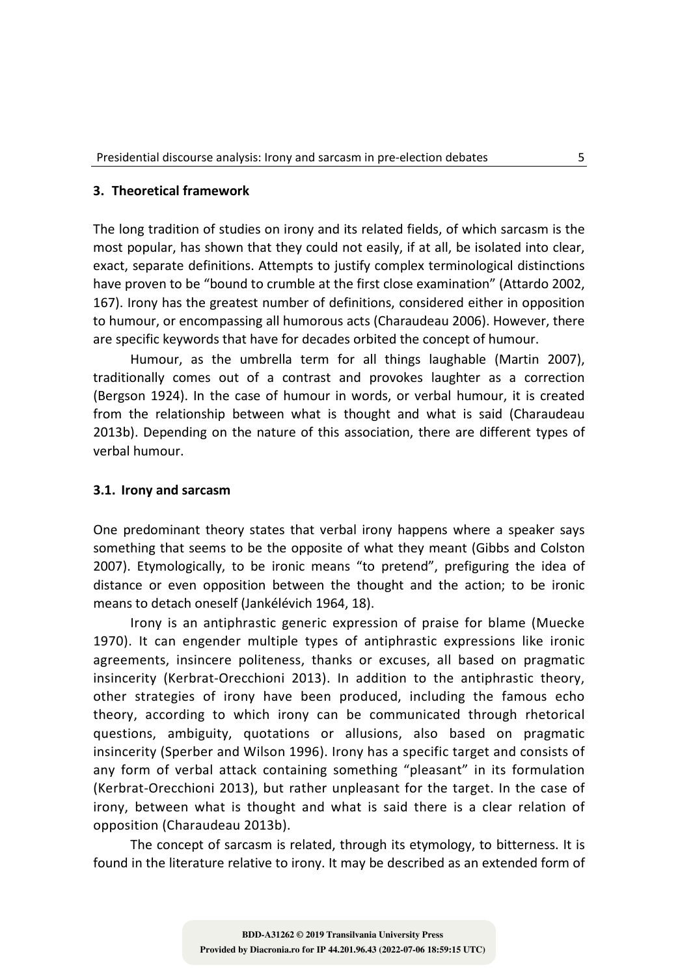#### **3. Theoretical framework**

The long tradition of studies on irony and its related fields, of which sarcasm is the most popular, has shown that they could not easily, if at all, be isolated into clear, exact, separate definitions. Attempts to justify complex terminological distinctions have proven to be "bound to crumble at the first close examination" (Attardo 2002, 167). Irony has the greatest number of definitions, considered either in opposition to humour, or encompassing all humorous acts (Charaudeau 2006). However, there are specific keywords that have for decades orbited the concept of humour.

Humour, as the umbrella term for all things laughable (Martin 2007), traditionally comes out of a contrast and provokes laughter as a correction (Bergson 1924). In the case of humour in words, or verbal humour, it is created from the relationship between what is thought and what is said (Charaudeau 2013b). Depending on the nature of this association, there are different types of verbal humour.

#### **3.1. Irony and sarcasm**

One predominant theory states that verbal irony happens where a speaker says something that seems to be the opposite of what they meant (Gibbs and Colston 2007). Etymologically, to be ironic means "to pretend", prefiguring the idea of distance or even opposition between the thought and the action; to be ironic means to detach oneself (Jankélévich 1964, 18).

Irony is an antiphrastic generic expression of praise for blame (Muecke 1970). It can engender multiple types of antiphrastic expressions like ironic agreements, insincere politeness, thanks or excuses, all based on pragmatic insincerity (Kerbrat-Orecchioni 2013). In addition to the antiphrastic theory, other strategies of irony have been produced, including the famous echo theory, according to which irony can be communicated through rhetorical questions, ambiguity, quotations or allusions, also based on pragmatic insincerity (Sperber and Wilson 1996). Irony has a specific target and consists of any form of verbal attack containing something "pleasant" in its formulation (Kerbrat-Orecchioni 2013), but rather unpleasant for the target. In the case of irony, between what is thought and what is said there is a clear relation of opposition (Charaudeau 2013b).

The concept of sarcasm is related, through its etymology, to bitterness. It is found in the literature relative to irony. It may be described as an extended form of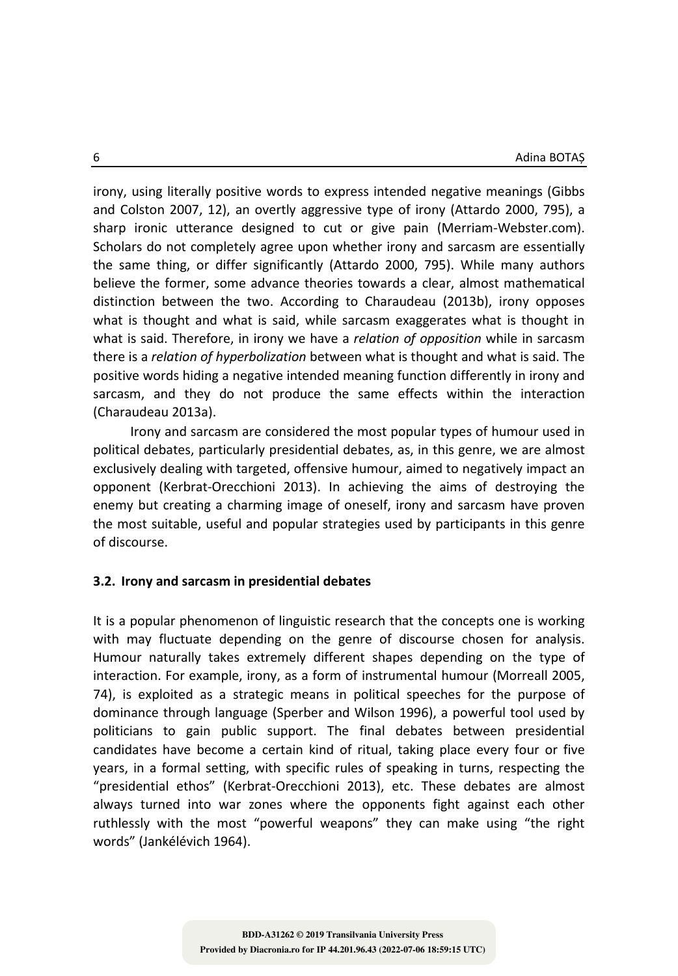irony, using literally positive words to express intended negative meanings (Gibbs and Colston 2007, 12), an overtly aggressive type of irony (Attardo 2000, 795), a sharp ironic utterance designed to cut or give pain (Merriam-Webster.com). Scholars do not completely agree upon whether irony and sarcasm are essentially the same thing, or differ significantly (Attardo 2000, 795). While many authors believe the former, some advance theories towards a clear, almost mathematical distinction between the two. According to Charaudeau (2013b), irony opposes what is thought and what is said, while sarcasm exaggerates what is thought in what is said. Therefore, in irony we have a *relation of opposition* while in sarcasm there is a *relation of hyperbolization* between what is thought and what is said. The positive words hiding a negative intended meaning function differently in irony and sarcasm, and they do not produce the same effects within the interaction (Charaudeau 2013a).

Irony and sarcasm are considered the most popular types of humour used in political debates, particularly presidential debates, as, in this genre, we are almost exclusively dealing with targeted, offensive humour, aimed to negatively impact an opponent (Kerbrat-Orecchioni 2013). In achieving the aims of destroying the enemy but creating a charming image of oneself, irony and sarcasm have proven the most suitable, useful and popular strategies used by participants in this genre of discourse.

#### **3.2. Irony and sarcasm in presidential debates**

It is a popular phenomenon of linguistic research that the concepts one is working with may fluctuate depending on the genre of discourse chosen for analysis. Humour naturally takes extremely different shapes depending on the type of interaction. For example, irony, as a form of instrumental humour (Morreall 2005, 74), is exploited as a strategic means in political speeches for the purpose of dominance through language (Sperber and Wilson 1996), a powerful tool used by politicians to gain public support. The final debates between presidential candidates have become a certain kind of ritual, taking place every four or five years, in a formal setting, with specific rules of speaking in turns, respecting the "presidential ethos" (Kerbrat-Orecchioni 2013), etc. These debates are almost always turned into war zones where the opponents fight against each other ruthlessly with the most "powerful weapons" they can make using "the right words" (Jankélévich 1964).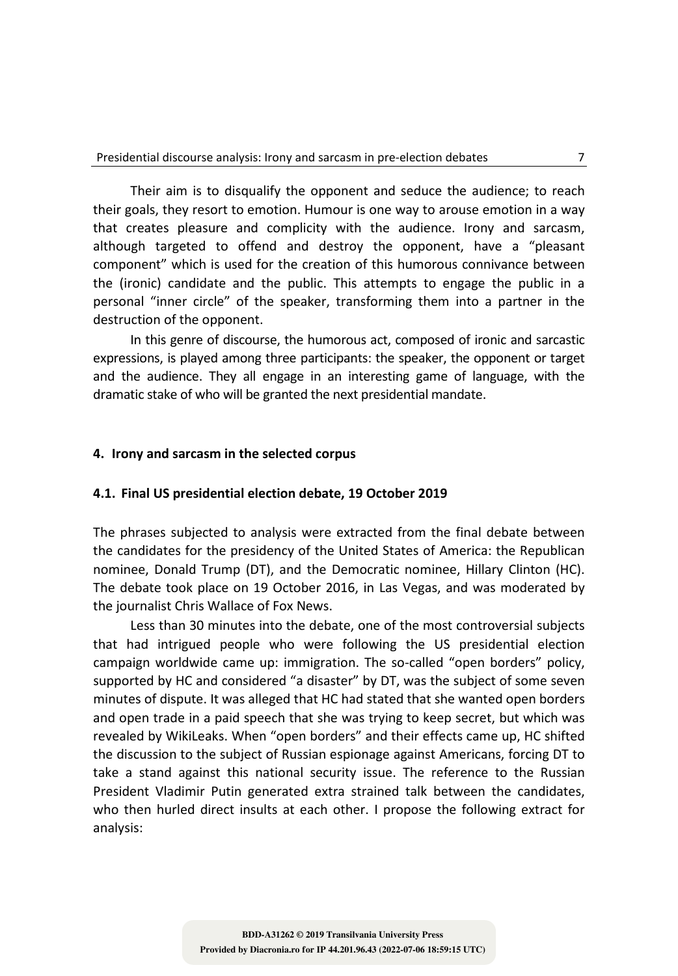Their aim is to disqualify the opponent and seduce the audience; to reach their goals, they resort to emotion. Humour is one way to arouse emotion in a way that creates pleasure and complicity with the audience. Irony and sarcasm, although targeted to offend and destroy the opponent, have a "pleasant component" which is used for the creation of this humorous connivance between the (ironic) candidate and the public. This attempts to engage the public in a personal "inner circle" of the speaker, transforming them into a partner in the destruction of the opponent.

In this genre of discourse, the humorous act, composed of ironic and sarcastic expressions, is played among three participants: the speaker, the opponent or target and the audience. They all engage in an interesting game of language, with the dramatic stake of who will be granted the next presidential mandate.

#### **4. Irony and sarcasm in the selected corpus**

#### **4.1. Final US presidential election debate, 19 October 2019**

The phrases subjected to analysis were extracted from the final debate between the candidates for the presidency of the United States of America: the Republican nominee, Donald Trump (DT), and the Democratic nominee, Hillary Clinton (HC). The debate took place on 19 October 2016, in Las Vegas, and was moderated by the journalist Chris Wallace of Fox News.

Less than 30 minutes into the debate, one of the most controversial subjects that had intrigued people who were following the US presidential election campaign worldwide came up: immigration. The so-called "open borders" policy, supported by HC and considered "a disaster" by DT, was the subject of some seven minutes of dispute. It was alleged that HC had stated that she wanted open borders and open trade in a paid speech that she was trying to keep secret, but which was revealed by WikiLeaks. When "open borders" and their effects came up, HC shifted the discussion to the subject of Russian espionage against Americans, forcing DT to take a stand against this national security issue. The reference to the Russian President Vladimir Putin generated extra strained talk between the candidates, who then hurled direct insults at each other. I propose the following extract for analysis: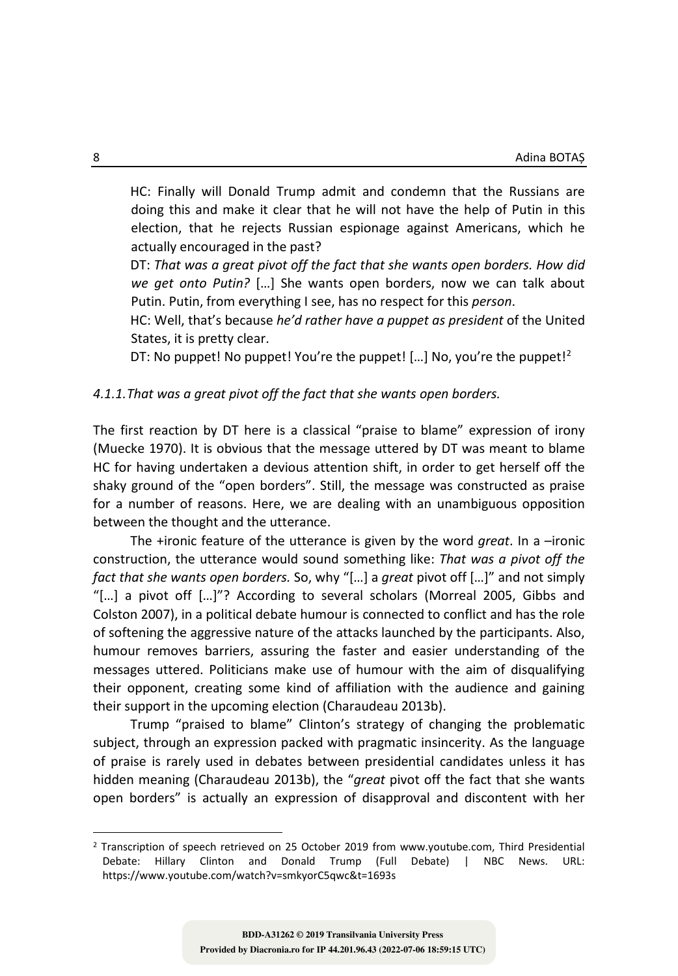HC: Finally will Donald Trump admit and condemn that the Russians are doing this and make it clear that he will not have the help of Putin in this election, that he rejects Russian espionage against Americans, which he actually encouraged in the past?

DT: *That was a great pivot off the fact that she wants open borders. How did we get onto Putin?* […] She wants open borders, now we can talk about Putin. Putin, from everything I see, has no respect for this *person*.

HC: Well, that's because *he'd rather have a puppet as president* of the United States, it is pretty clear.

DT: No puppet! No puppet! You're the puppet! [...] No, you're the puppet!<sup>2</sup>

#### *4.1.1.That was a great pivot off the fact that she wants open borders.*

The first reaction by DT here is a classical "praise to blame" expression of irony (Muecke 1970). It is obvious that the message uttered by DT was meant to blame HC for having undertaken a devious attention shift, in order to get herself off the shaky ground of the "open borders". Still, the message was constructed as praise for a number of reasons. Here, we are dealing with an unambiguous opposition between the thought and the utterance.

The +ironic feature of the utterance is given by the word *great*. In a –ironic construction, the utterance would sound something like: *That was a pivot off the fact that she wants open borders.* So, why "[…] a *great* pivot off […]" and not simply "[…] a pivot off […]"? According to several scholars (Morreal 2005, Gibbs and Colston 2007), in a political debate humour is connected to conflict and has the role of softening the aggressive nature of the attacks launched by the participants. Also, humour removes barriers, assuring the faster and easier understanding of the messages uttered. Politicians make use of humour with the aim of disqualifying their opponent, creating some kind of affiliation with the audience and gaining their support in the upcoming election (Charaudeau 2013b).

Trump "praised to blame" Clinton's strategy of changing the problematic subject, through an expression packed with pragmatic insincerity. As the language of praise is rarely used in debates between presidential candidates unless it has hidden meaning (Charaudeau 2013b), the "*great* pivot off the fact that she wants open borders" is actually an expression of disapproval and discontent with her

<sup>2</sup> Transcription of speech retrieved on 25 October 2019 from www.youtube.com, Third Presidential Debate: Hillary Clinton and Donald Trump (Full Debate) | NBC News. URL: https://www.youtube.com/watch?v=smkyorC5qwc&t=1693s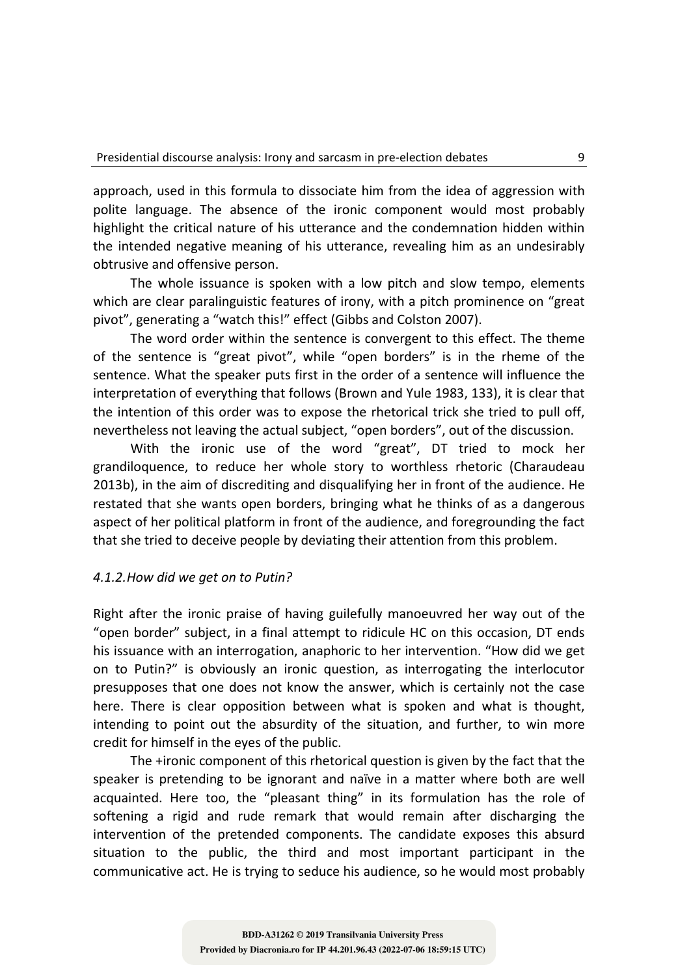approach, used in this formula to dissociate him from the idea of aggression with polite language. The absence of the ironic component would most probably highlight the critical nature of his utterance and the condemnation hidden within the intended negative meaning of his utterance, revealing him as an undesirably obtrusive and offensive person.

The whole issuance is spoken with a low pitch and slow tempo, elements which are clear paralinguistic features of irony, with a pitch prominence on "great pivot", generating a "watch this!" effect (Gibbs and Colston 2007).

The word order within the sentence is convergent to this effect. The theme of the sentence is "great pivot", while "open borders" is in the rheme of the sentence. What the speaker puts first in the order of a sentence will influence the interpretation of everything that follows (Brown and Yule 1983, 133), it is clear that the intention of this order was to expose the rhetorical trick she tried to pull off, nevertheless not leaving the actual subject, "open borders", out of the discussion.

With the ironic use of the word "great", DT tried to mock her grandiloquence, to reduce her whole story to worthless rhetoric (Charaudeau 2013b), in the aim of discrediting and disqualifying her in front of the audience. He restated that she wants open borders, bringing what he thinks of as a dangerous aspect of her political platform in front of the audience, and foregrounding the fact that she tried to deceive people by deviating their attention from this problem.

## *4.1.2.How did we get on to Putin?*

Right after the ironic praise of having guilefully manoeuvred her way out of the "open border" subject, in a final attempt to ridicule HC on this occasion, DT ends his issuance with an interrogation, anaphoric to her intervention. "How did we get on to Putin?" is obviously an ironic question, as interrogating the interlocutor presupposes that one does not know the answer, which is certainly not the case here. There is clear opposition between what is spoken and what is thought, intending to point out the absurdity of the situation, and further, to win more credit for himself in the eyes of the public.

The +ironic component of this rhetorical question is given by the fact that the speaker is pretending to be ignorant and naïve in a matter where both are well acquainted. Here too, the "pleasant thing" in its formulation has the role of softening a rigid and rude remark that would remain after discharging the intervention of the pretended components. The candidate exposes this absurd situation to the public, the third and most important participant in the communicative act. He is trying to seduce his audience, so he would most probably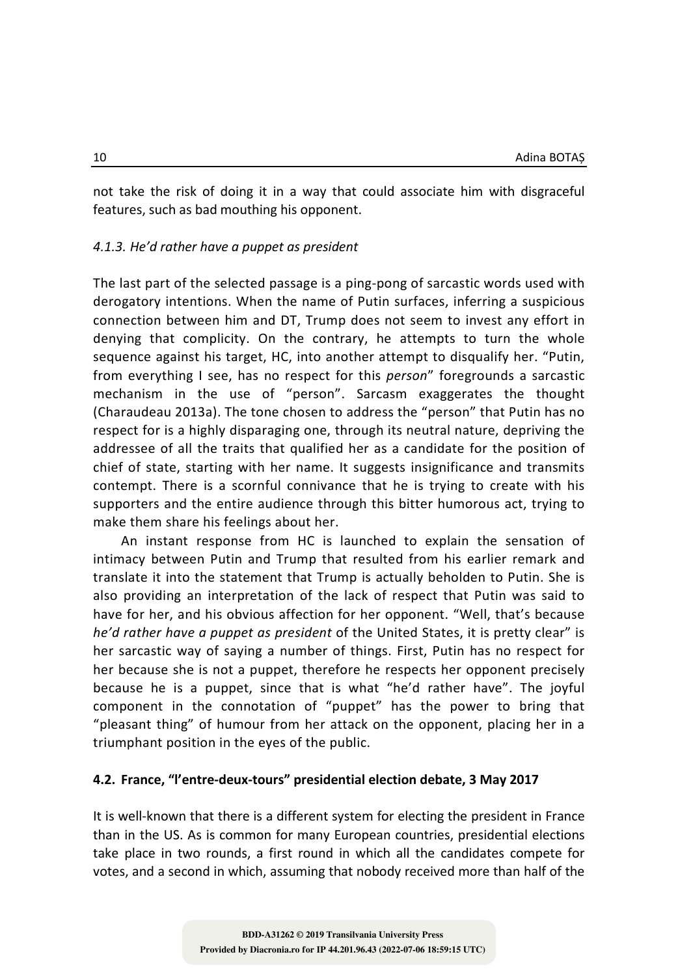not take the risk of doing it in a way that could associate him with disgraceful features, such as bad mouthing his opponent.

#### *4.1.3. He'd rather have a puppet as president*

The last part of the selected passage is a ping-pong of sarcastic words used with derogatory intentions. When the name of Putin surfaces, inferring a suspicious connection between him and DT, Trump does not seem to invest any effort in denying that complicity. On the contrary, he attempts to turn the whole sequence against his target, HC, into another attempt to disqualify her. "Putin, from everything I see, has no respect for this *person*" foregrounds a sarcastic mechanism in the use of "person". Sarcasm exaggerates the thought (Charaudeau 2013a). The tone chosen to address the "person" that Putin has no respect for is a highly disparaging one, through its neutral nature, depriving the addressee of all the traits that qualified her as a candidate for the position of chief of state, starting with her name. It suggests insignificance and transmits contempt. There is a scornful connivance that he is trying to create with his supporters and the entire audience through this bitter humorous act, trying to make them share his feelings about her.

An instant response from HC is launched to explain the sensation of intimacy between Putin and Trump that resulted from his earlier remark and translate it into the statement that Trump is actually beholden to Putin. She is also providing an interpretation of the lack of respect that Putin was said to have for her, and his obvious affection for her opponent. "Well, that's because *he'd rather have a puppet as president* of the United States, it is pretty clear" is her sarcastic way of saying a number of things. First, Putin has no respect for her because she is not a puppet, therefore he respects her opponent precisely because he is a puppet, since that is what "he'd rather have". The joyful component in the connotation of "puppet" has the power to bring that "pleasant thing" of humour from her attack on the opponent, placing her in a triumphant position in the eyes of the public.

# **4.2. France, "l'entre-deux-tours" presidential election debate, 3 May 2017**

It is well-known that there is a different system for electing the president in France than in the US. As is common for many European countries, presidential elections take place in two rounds, a first round in which all the candidates compete for votes, and a second in which, assuming that nobody received more than half of the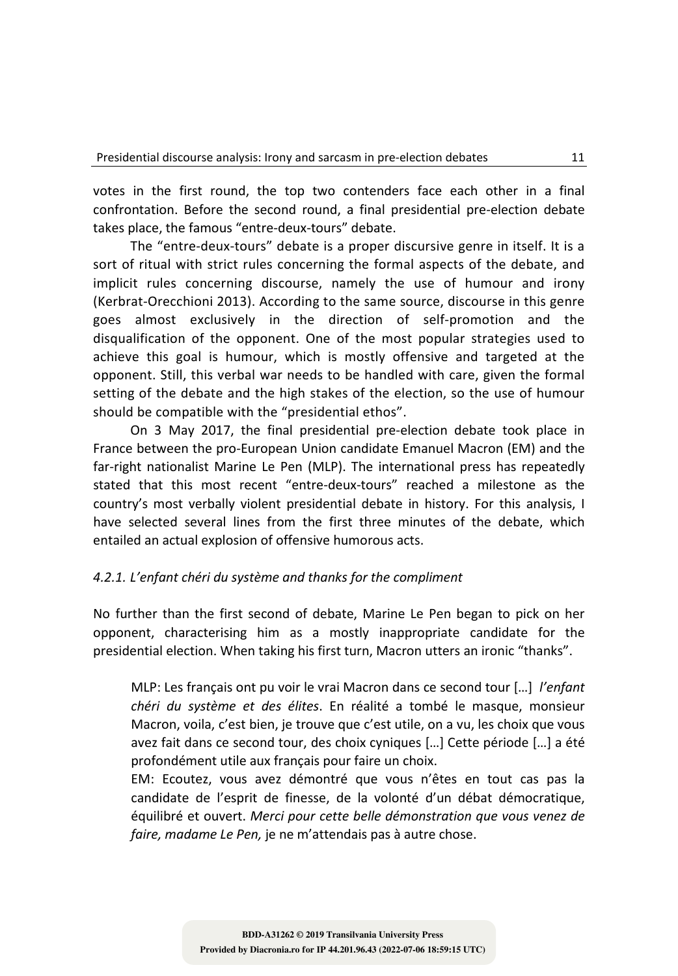votes in the first round, the top two contenders face each other in a final confrontation. Before the second round, a final presidential pre-election debate takes place, the famous "entre-deux-tours" debate.

The "entre-deux-tours" debate is a proper discursive genre in itself. It is a sort of ritual with strict rules concerning the formal aspects of the debate, and implicit rules concerning discourse, namely the use of humour and irony (Kerbrat-Orecchioni 2013). According to the same source, discourse in this genre goes almost exclusively in the direction of self-promotion and the disqualification of the opponent. One of the most popular strategies used to achieve this goal is humour, which is mostly offensive and targeted at the opponent. Still, this verbal war needs to be handled with care, given the formal setting of the debate and the high stakes of the election, so the use of humour should be compatible with the "presidential ethos".

On 3 May 2017, the final presidential pre-election debate took place in France between the pro-European Union candidate Emanuel Macron (EM) and the far-right nationalist Marine Le Pen (MLP). The international press has repeatedly stated that this most recent "entre-deux-tours" reached a milestone as the country's most verbally violent presidential debate in history. For this analysis, I have selected several lines from the first three minutes of the debate, which entailed an actual explosion of offensive humorous acts.

# *4.2.1. L'enfant chéri du système and thanks for the compliment*

No further than the first second of debate, Marine Le Pen began to pick on her opponent, characterising him as a mostly inappropriate candidate for the presidential election. When taking his first turn, Macron utters an ironic "thanks".

MLP: Les français ont pu voir le vrai Macron dans ce second tour […] *l'enfant chéri du système et des élites*. En réalité a tombé le masque, monsieur Macron, voila, c'est bien, je trouve que c'est utile, on a vu, les choix que vous avez fait dans ce second tour, des choix cyniques […] Cette période […] a été profondément utile aux français pour faire un choix.

EM: Ecoutez, vous avez démontré que vous n'êtes en tout cas pas la candidate de l'esprit de finesse, de la volonté d'un débat démocratique, équilibré et ouvert. *Merci pour cette belle démonstration que vous venez de faire, madame Le Pen,* je ne m'attendais pas à autre chose.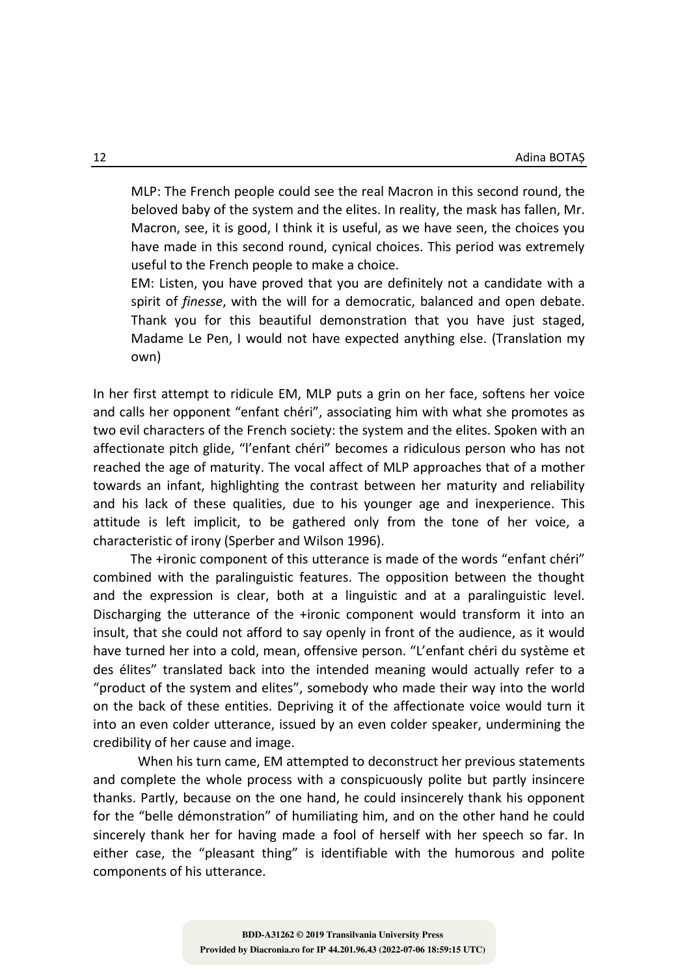MLP: The French people could see the real Macron in this second round, the beloved baby of the system and the elites. In reality, the mask has fallen, Mr. Macron, see, it is good, I think it is useful, as we have seen, the choices you have made in this second round, cynical choices. This period was extremely useful to the French people to make a choice.

EM: Listen, you have proved that you are definitely not a candidate with a spirit of *finesse*, with the will for a democratic, balanced and open debate. Thank you for this beautiful demonstration that you have just staged, Madame Le Pen, I would not have expected anything else. (Translation my own)

In her first attempt to ridicule EM, MLP puts a grin on her face, softens her voice and calls her opponent "enfant chéri", associating him with what she promotes as two evil characters of the French society: the system and the elites. Spoken with an affectionate pitch glide, "l'enfant chéri" becomes a ridiculous person who has not reached the age of maturity. The vocal affect of MLP approaches that of a mother towards an infant, highlighting the contrast between her maturity and reliability and his lack of these qualities, due to his younger age and inexperience. This attitude is left implicit, to be gathered only from the tone of her voice, a characteristic of irony (Sperber and Wilson 1996).

The +ironic component of this utterance is made of the words "enfant chéri" combined with the paralinguistic features. The opposition between the thought and the expression is clear, both at a linguistic and at a paralinguistic level. Discharging the utterance of the +ironic component would transform it into an insult, that she could not afford to say openly in front of the audience, as it would have turned her into a cold, mean, offensive person. "L'enfant chéri du système et des élites" translated back into the intended meaning would actually refer to a "product of the system and elites", somebody who made their way into the world on the back of these entities. Depriving it of the affectionate voice would turn it into an even colder utterance, issued by an even colder speaker, undermining the credibility of her cause and image.

When his turn came, EM attempted to deconstruct her previous statements and complete the whole process with a conspicuously polite but partly insincere thanks. Partly, because on the one hand, he could insincerely thank his opponent for the "belle démonstration" of humiliating him, and on the other hand he could sincerely thank her for having made a fool of herself with her speech so far. In either case, the "pleasant thing" is identifiable with the humorous and polite components of his utterance.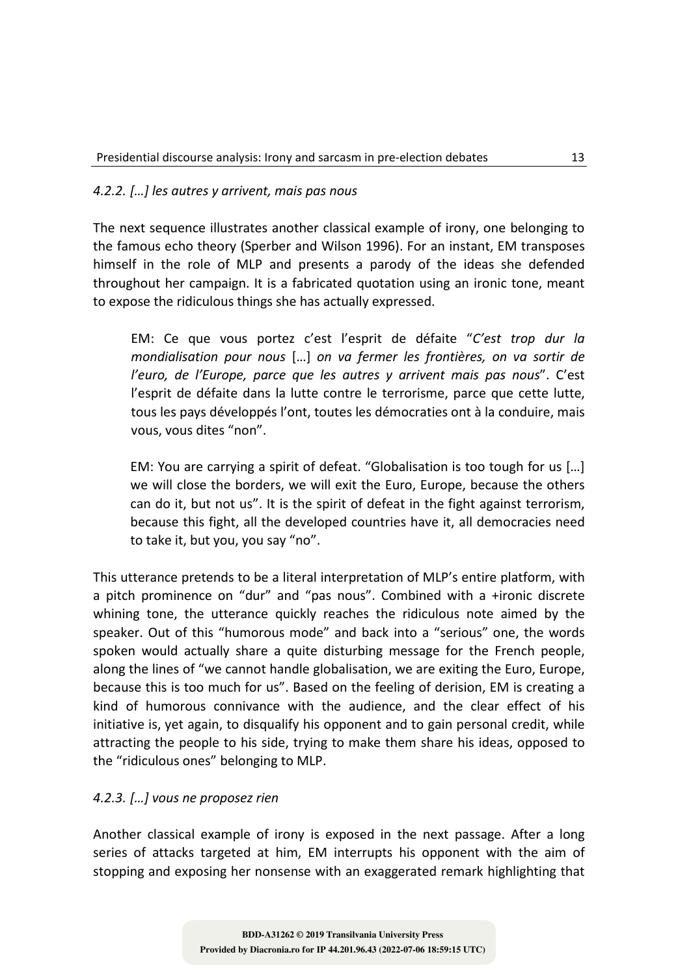## *4.2.2. […] les autres y arrivent, mais pas nous*

The next sequence illustrates another classical example of irony, one belonging to the famous echo theory (Sperber and Wilson 1996). For an instant, EM transposes himself in the role of MLP and presents a parody of the ideas she defended throughout her campaign. It is a fabricated quotation using an ironic tone, meant to expose the ridiculous things she has actually expressed.

EM: Ce que vous portez c'est l'esprit de défaite "*C'est trop dur la mondialisation pour nous* […] *on va fermer les frontières, on va sortir de l'euro, de l'Europe, parce que les autres y arrivent mais pas nous*". C'est l'esprit de défaite dans la lutte contre le terrorisme, parce que cette lutte, tous les pays développés l'ont, toutes les démocraties ont à la conduire, mais vous, vous dites "non".

EM: You are carrying a spirit of defeat. "Globalisation is too tough for us […] we will close the borders, we will exit the Euro, Europe, because the others can do it, but not us". It is the spirit of defeat in the fight against terrorism, because this fight, all the developed countries have it, all democracies need to take it, but you, you say "no".

This utterance pretends to be a literal interpretation of MLP's entire platform, with a pitch prominence on "dur" and "pas nous". Combined with a +ironic discrete whining tone, the utterance quickly reaches the ridiculous note aimed by the speaker. Out of this "humorous mode" and back into a "serious" one, the words spoken would actually share a quite disturbing message for the French people, along the lines of "we cannot handle globalisation, we are exiting the Euro, Europe, because this is too much for us". Based on the feeling of derision, EM is creating a kind of humorous connivance with the audience, and the clear effect of his initiative is, yet again, to disqualify his opponent and to gain personal credit, while attracting the people to his side, trying to make them share his ideas, opposed to the "ridiculous ones" belonging to MLP.

## *4.2.3. […] vous ne proposez rien*

Another classical example of irony is exposed in the next passage. After a long series of attacks targeted at him, EM interrupts his opponent with the aim of stopping and exposing her nonsense with an exaggerated remark highlighting that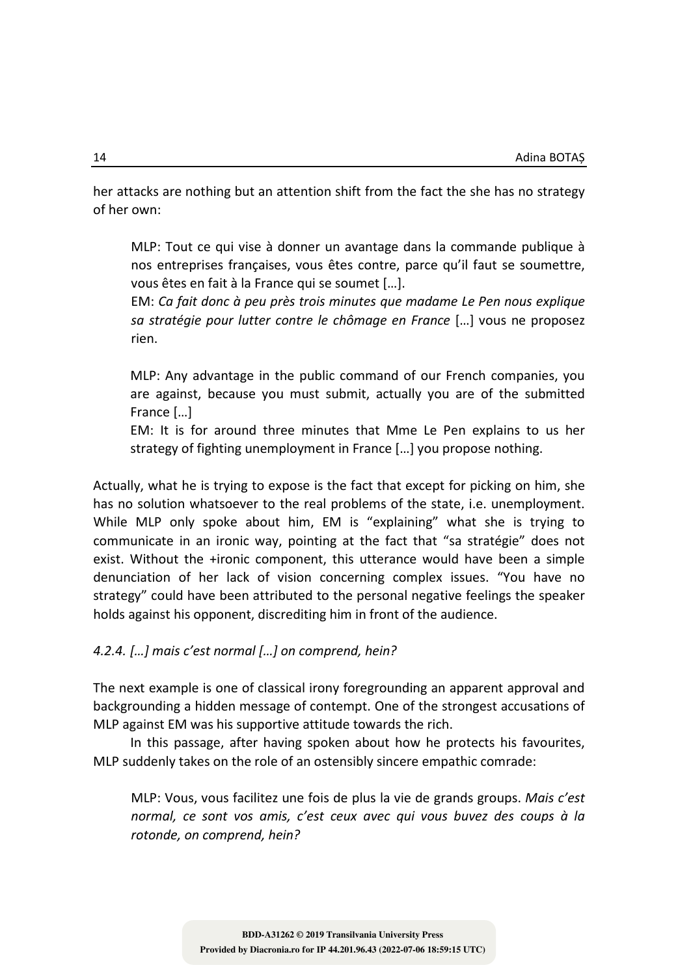her attacks are nothing but an attention shift from the fact the she has no strategy of her own:

MLP: Tout ce qui vise à donner un avantage dans la commande publique à nos entreprises françaises, vous êtes contre, parce qu'il faut se soumettre, vous êtes en fait à la France qui se soumet […].

EM: *Ca fait donc à peu près trois minutes que madame Le Pen nous explique sa stratégie pour lutter contre le chômage en France* […] vous ne proposez rien.

MLP: Any advantage in the public command of our French companies, you are against, because you must submit, actually you are of the submitted France […]

EM: It is for around three minutes that Mme Le Pen explains to us her strategy of fighting unemployment in France […] you propose nothing.

Actually, what he is trying to expose is the fact that except for picking on him, she has no solution whatsoever to the real problems of the state, i.e. unemployment. While MLP only spoke about him, EM is "explaining" what she is trying to communicate in an ironic way, pointing at the fact that "sa stratégie" does not exist. Without the +ironic component, this utterance would have been a simple denunciation of her lack of vision concerning complex issues. "You have no strategy" could have been attributed to the personal negative feelings the speaker holds against his opponent, discrediting him in front of the audience.

*4.2.4. […] mais c'est normal […] on comprend, hein?*

The next example is one of classical irony foregrounding an apparent approval and backgrounding a hidden message of contempt. One of the strongest accusations of MLP against EM was his supportive attitude towards the rich.

In this passage, after having spoken about how he protects his favourites, MLP suddenly takes on the role of an ostensibly sincere empathic comrade:

MLP: Vous, vous facilitez une fois de plus la vie de grands groups. *Mais c'est normal, ce sont vos amis, c'est ceux avec qui vous buvez des coups à la rotonde, on comprend, hein?*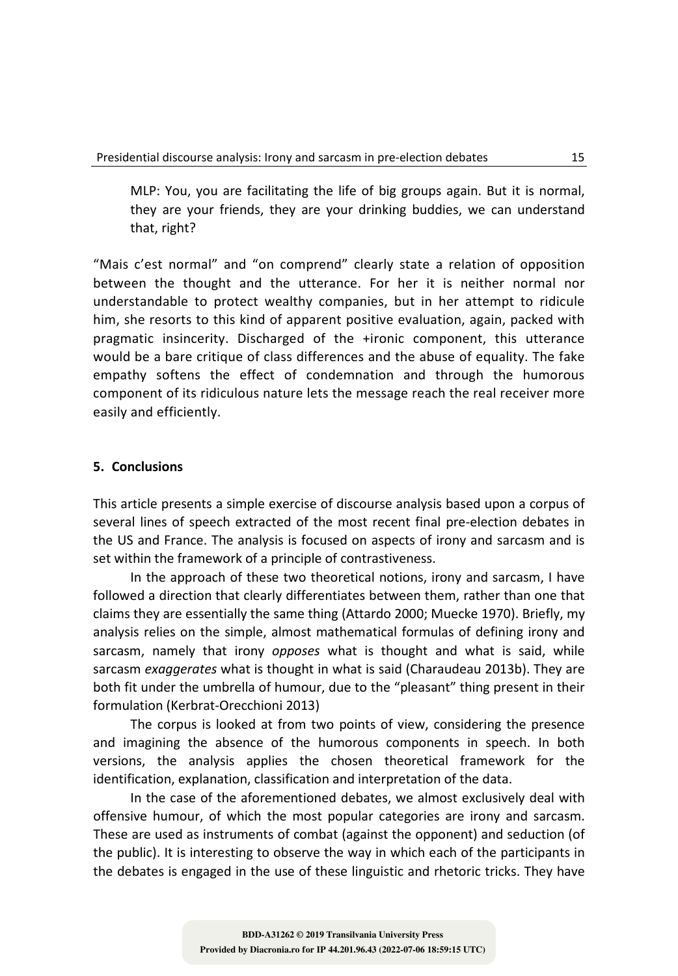MLP: You, you are facilitating the life of big groups again. But it is normal, they are your friends, they are your drinking buddies, we can understand that, right?

"Mais c'est normal" and "on comprend" clearly state a relation of opposition between the thought and the utterance. For her it is neither normal nor understandable to protect wealthy companies, but in her attempt to ridicule him, she resorts to this kind of apparent positive evaluation, again, packed with pragmatic insincerity. Discharged of the +ironic component, this utterance would be a bare critique of class differences and the abuse of equality. The fake empathy softens the effect of condemnation and through the humorous component of its ridiculous nature lets the message reach the real receiver more easily and efficiently.

## **5. Conclusions**

This article presents a simple exercise of discourse analysis based upon a corpus of several lines of speech extracted of the most recent final pre-election debates in the US and France. The analysis is focused on aspects of irony and sarcasm and is set within the framework of a principle of contrastiveness.

In the approach of these two theoretical notions, irony and sarcasm, I have followed a direction that clearly differentiates between them, rather than one that claims they are essentially the same thing (Attardo 2000; Muecke 1970). Briefly, my analysis relies on the simple, almost mathematical formulas of defining irony and sarcasm, namely that irony *opposes* what is thought and what is said, while sarcasm *exaggerates* what is thought in what is said (Charaudeau 2013b). They are both fit under the umbrella of humour, due to the "pleasant" thing present in their formulation (Kerbrat-Orecchioni 2013)

The corpus is looked at from two points of view, considering the presence and imagining the absence of the humorous components in speech. In both versions, the analysis applies the chosen theoretical framework for the identification, explanation, classification and interpretation of the data.

In the case of the aforementioned debates, we almost exclusively deal with offensive humour, of which the most popular categories are irony and sarcasm. These are used as instruments of combat (against the opponent) and seduction (of the public). It is interesting to observe the way in which each of the participants in the debates is engaged in the use of these linguistic and rhetoric tricks. They have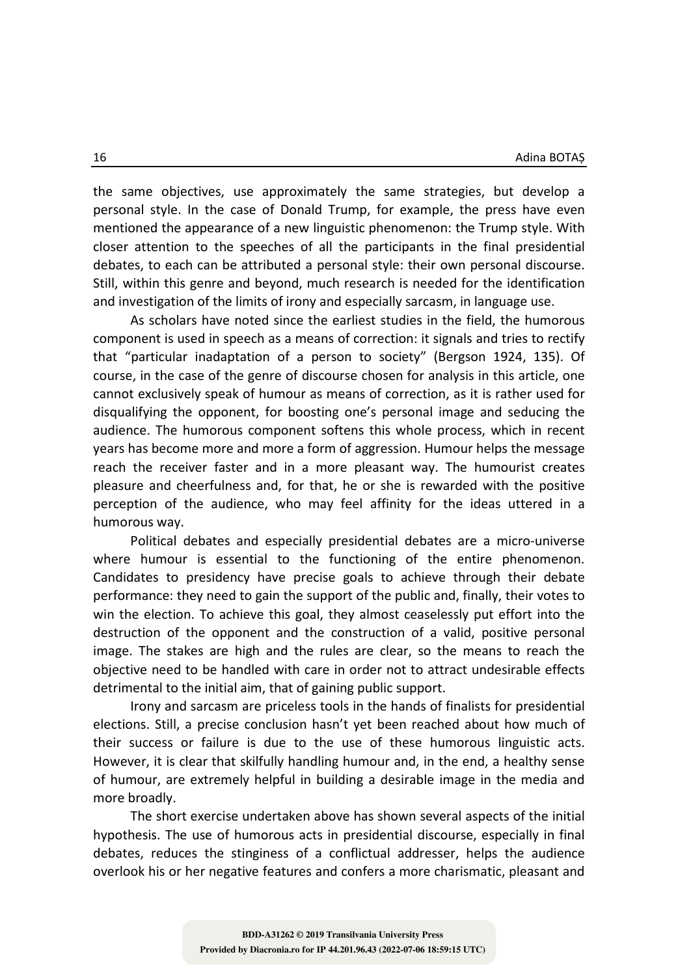the same objectives, use approximately the same strategies, but develop a personal style. In the case of Donald Trump, for example, the press have even mentioned the appearance of a new linguistic phenomenon: the Trump style. With closer attention to the speeches of all the participants in the final presidential debates, to each can be attributed a personal style: their own personal discourse. Still, within this genre and beyond, much research is needed for the identification and investigation of the limits of irony and especially sarcasm, in language use.

As scholars have noted since the earliest studies in the field, the humorous component is used in speech as a means of correction: it signals and tries to rectify that "particular inadaptation of a person to society" (Bergson 1924, 135). Of course, in the case of the genre of discourse chosen for analysis in this article, one cannot exclusively speak of humour as means of correction, as it is rather used for disqualifying the opponent, for boosting one's personal image and seducing the audience. The humorous component softens this whole process, which in recent years has become more and more a form of aggression. Humour helps the message reach the receiver faster and in a more pleasant way. The humourist creates pleasure and cheerfulness and, for that, he or she is rewarded with the positive perception of the audience, who may feel affinity for the ideas uttered in a humorous way.

Political debates and especially presidential debates are a micro-universe where humour is essential to the functioning of the entire phenomenon. Candidates to presidency have precise goals to achieve through their debate performance: they need to gain the support of the public and, finally, their votes to win the election. To achieve this goal, they almost ceaselessly put effort into the destruction of the opponent and the construction of a valid, positive personal image. The stakes are high and the rules are clear, so the means to reach the objective need to be handled with care in order not to attract undesirable effects detrimental to the initial aim, that of gaining public support.

Irony and sarcasm are priceless tools in the hands of finalists for presidential elections. Still, a precise conclusion hasn't yet been reached about how much of their success or failure is due to the use of these humorous linguistic acts. However, it is clear that skilfully handling humour and, in the end, a healthy sense of humour, are extremely helpful in building a desirable image in the media and more broadly.

The short exercise undertaken above has shown several aspects of the initial hypothesis. The use of humorous acts in presidential discourse, especially in final debates, reduces the stinginess of a conflictual addresser, helps the audience overlook his or her negative features and confers a more charismatic, pleasant and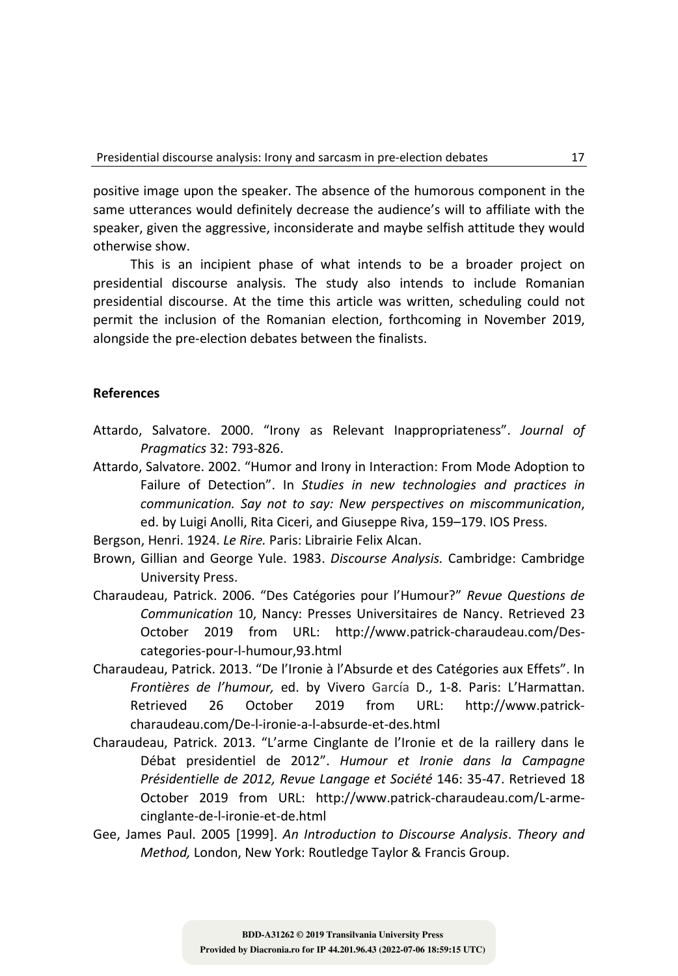positive image upon the speaker. The absence of the humorous component in the same utterances would definitely decrease the audience's will to affiliate with the speaker, given the aggressive, inconsiderate and maybe selfish attitude they would otherwise show.

This is an incipient phase of what intends to be a broader project on presidential discourse analysis. The study also intends to include Romanian presidential discourse. At the time this article was written, scheduling could not permit the inclusion of the Romanian election, forthcoming in November 2019, alongside the pre-election debates between the finalists.

## **References**

- Attardo, Salvatore. 2000. "Irony as Relevant Inappropriateness". *Journal of Pragmatics* 32: 793-826.
- Attardo, Salvatore. 2002. "Humor and Irony in Interaction: From Mode Adoption to Failure of Detection". In *Studies in new technologies and practices in communication. Say not to say: New perspectives on miscommunication*, ed. by Luigi Anolli, Rita Ciceri, and Giuseppe Riva, 159–179. IOS Press.
- Bergson, Henri. 1924. *Le Rire.* Paris: Librairie Felix Alcan.
- Brown, Gillian and George Yule. 1983. *Discourse Analysis.* Cambridge: Cambridge University Press.
- Charaudeau, Patrick. 2006. "Des Catégories pour l'Humour?" *Revue Questions de Communication* 10, Nancy: Presses Universitaires de Nancy. Retrieved 23 October 2019 from URL: http://www.patrick-charaudeau.com/Descategories-pour-l-humour,93.html
- Charaudeau, Patrick. 2013. "De l'Ironie à l'Absurde et des Catégories aux Effets". In *Frontières de l'humour,* ed. by Vivero García D., 1-8. Paris: L'Harmattan. Retrieved 26 October 2019 from URL: http://www.patrickcharaudeau.com/De-l-ironie-a-l-absurde-et-des.html
- Charaudeau, Patrick. 2013. "L'arme Cinglante de l'Ironie et de la raillery dans le Débat presidentiel de 2012". *Humour et Ironie dans la Campagne Présidentielle de 2012, Revue Langage et Société* 146: 35-47. Retrieved 18 October 2019 from URL: http://www.patrick-charaudeau.com/L-armecinglante-de-l-ironie-et-de.html
- Gee, James Paul. 2005 [1999]. *An Introduction to Discourse Analysis*. *Theory and Method,* London, New York: Routledge Taylor & Francis Group.